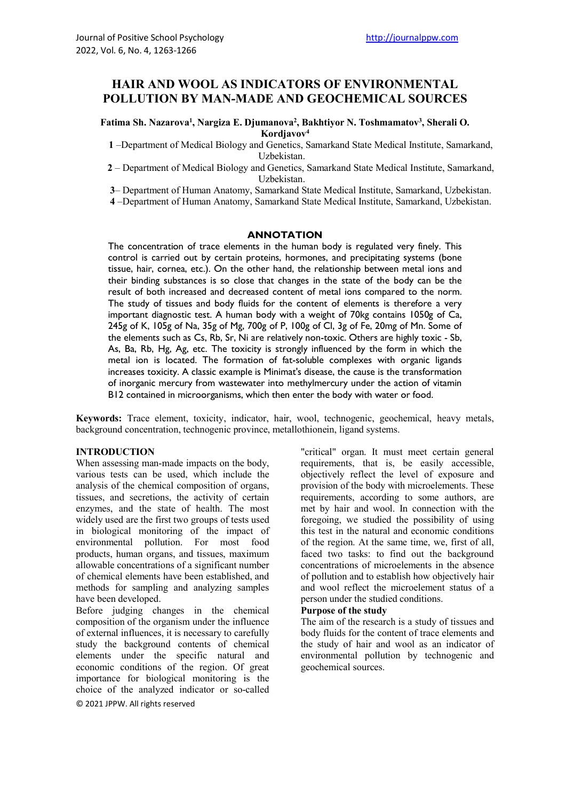# **HAIR AND WOOL AS INDICATORS OF ENVIRONMENTAL POLLUTION BY MAN-MADE AND GEOCHEMICAL SOURCES**

**Fatima Sh. Nazarova1 , Nargiza E. Djumanova2 , Bakhtiyor N. Toshmamatov3 , Sherali O. Kordjavov4**

**1** –Department of Medical Biology and Genetics, Samarkand State Medical Institute, Samarkand, Uzbekistan.

**2** – Department of Medical Biology and Genetics, Samarkand State Medical Institute, Samarkand, Uzbekistan.

**3**– Department of Human Anatomy, Samarkand State Medical Institute, Samarkand, Uzbekistan.

**4** –Department of Human Anatomy, Samarkand State Medical Institute, Samarkand, Uzbekistan.

### **ANNOTATION**

The concentration of trace elements in the human body is regulated very finely. This control is carried out by certain proteins, hormones, and precipitating systems (bone tissue, hair, cornea, etc.). On the other hand, the relationship between metal ions and their binding substances is so close that changes in the state of the body can be the result of both increased and decreased content of metal ions compared to the norm. The study of tissues and body fluids for the content of elements is therefore a very important diagnostic test. A human body with a weight of 70kg contains 1050g of Ca, 245g of K, 105g of Na, 35g of Mg, 700g of P, 100g of Cl, 3g of Fe, 20mg of Mn. Some of the elements such as Cs, Rb, Sr, Ni are relatively non-toxic. Others are highly toxic - Sb, As, Ba, Rb, Hg, Ag, etc. The toxicity is strongly influenced by the form in which the metal ion is located. The formation of fat-soluble complexes with organic ligands increases toxicity. A classic example is Minimat's disease, the cause is the transformation of inorganic mercury from wastewater into methylmercury under the action of vitamin B12 contained in microorganisms, which then enter the body with water or food.

**Keywords:** Trace element, toxicity, indicator, hair, wool, technogenic, geochemical, heavy metals, background concentration, technogenic province, metallothionein, ligand systems.

### **INTRODUCTION**

When assessing man-made impacts on the body, various tests can be used, which include the analysis of the chemical composition of organs, tissues, and secretions, the activity of certain enzymes, and the state of health. The most widely used are the first two groups of tests used in biological monitoring of the impact of environmental pollution. For most food products, human organs, and tissues, maximum allowable concentrations of a significant number of chemical elements have been established, and methods for sampling and analyzing samples have been developed.

Before judging changes in the chemical composition of the organism under the influence of external influences, it is necessary to carefully study the background contents of chemical elements under the specific natural and economic conditions of the region. Of great importance for biological monitoring is the choice of the analyzed indicator or so-called

© 2021 JPPW. All rights reserved

"critical" organ. It must meet certain general requirements, that is, be easily accessible, objectively reflect the level of exposure and provision of the body with microelements. These requirements, according to some authors, are met by hair and wool. In connection with the foregoing, we studied the possibility of using this test in the natural and economic conditions of the region. At the same time, we, first of all, faced two tasks: to find out the background concentrations of microelements in the absence of pollution and to establish how objectively hair and wool reflect the microelement status of a person under the studied conditions.

#### **Purpose of the study**

The aim of the research is a study of tissues and body fluids for the content of trace elements and the study of hair and wool as an indicator of environmental pollution by technogenic and geochemical sources.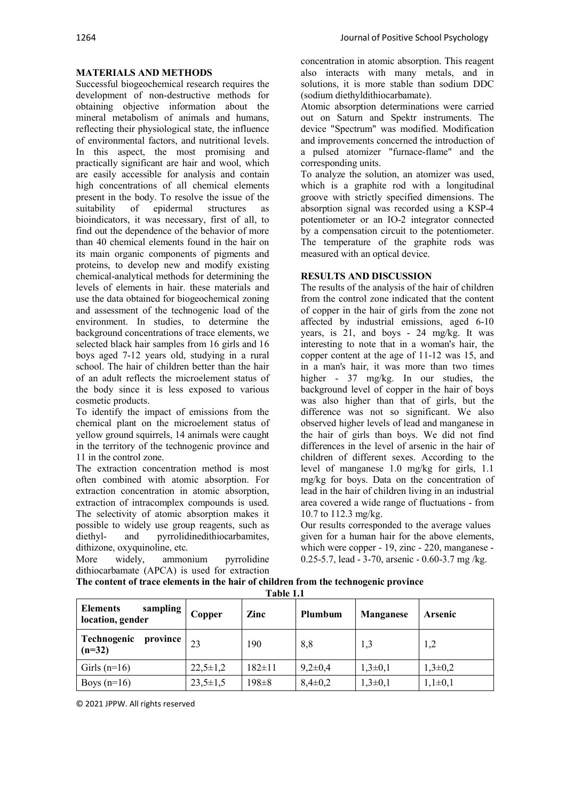## **MATERIALS AND METHODS**

Successful biogeochemical research requires the development of non-destructive methods for obtaining objective information about the mineral metabolism of animals and humans, reflecting their physiological state, the influence of environmental factors, and nutritional levels. In this aspect, the most promising and practically significant are hair and wool, which are easily accessible for analysis and contain high concentrations of all chemical elements present in the body. To resolve the issue of the suitability of epidermal structures as bioindicators, it was necessary, first of all, to find out the dependence of the behavior of more than 40 chemical elements found in the hair on its main organic components of pigments and proteins, to develop new and modify existing chemical-analytical methods for determining the levels of elements in hair. these materials and use the data obtained for biogeochemical zoning and assessment of the technogenic load of the environment. In studies, to determine the background concentrations of trace elements, we selected black hair samples from 16 girls and 16 boys aged 7-12 years old, studying in a rural school. The hair of children better than the hair of an adult reflects the microelement status of the body since it is less exposed to various cosmetic products.

To identify the impact of emissions from the chemical plant on the microelement status of yellow ground squirrels, 14 animals were caught in the territory of the technogenic province and 11 in the control zone.

The extraction concentration method is most often combined with atomic absorption. For extraction concentration in atomic absorption, extraction of intracomplex compounds is used. The selectivity of atomic absorption makes it possible to widely use group reagents, such as diethyl- and pyrrolidinedithiocarbamites, dithizone, oxyquinoline, etc.

More widely, ammonium pyrrolidine dithiocarbamate (APCA) is used for extraction concentration in atomic absorption. This reagent also interacts with many metals, and in solutions, it is more stable than sodium DDC (sodium diethyldithiocarbamate).

Atomic absorption determinations were carried out on Saturn and Spektr instruments. The device "Spectrum" was modified. Modification and improvements concerned the introduction of a pulsed atomizer "furnace-flame" and the corresponding units.

To analyze the solution, an atomizer was used, which is a graphite rod with a longitudinal groove with strictly specified dimensions. The absorption signal was recorded using a KSP-4 potentiometer or an IO-2 integrator connected by a compensation circuit to the potentiometer. The temperature of the graphite rods was measured with an optical device.

## **RESULTS AND DISCUSSION**

The results of the analysis of the hair of children from the control zone indicated that the content of copper in the hair of girls from the zone not affected by industrial emissions, aged 6-10 years, is 21, and boys - 24 mg/kg. It was interesting to note that in a woman's hair, the copper content at the age of 11-12 was 15, and in a man's hair, it was more than two times higher - 37 mg/kg. In our studies, the background level of copper in the hair of boys was also higher than that of girls, but the difference was not so significant. We also observed higher levels of lead and manganese in the hair of girls than boys. We did not find differences in the level of arsenic in the hair of children of different sexes. According to the level of manganese 1.0 mg/kg for girls, 1.1 mg/kg for boys. Data on the concentration of lead in the hair of children living in an industrial area covered a wide range of fluctuations - from 10.7 to 112.3 mg/kg.

Our results corresponded to the average values given for a human hair for the above elements, which were copper - 19, zinc - 220, manganese - 0.25-5.7, lead - 3-70, arsenic - 0.60-3.7 mg /kg.

| The content of trace elements in the hair of children from the technogenic province |           |  |
|-------------------------------------------------------------------------------------|-----------|--|
|                                                                                     | Table 1.1 |  |

| <b>Elements</b><br>sampling  <br>location, gender | Copper         | Zinc         | Plumbum       | <b>Manganese</b> | <b>Arsenic</b> |
|---------------------------------------------------|----------------|--------------|---------------|------------------|----------------|
| Technogenic<br>province<br>$(n=32)$               | 23             | 190          | 8,8           | 1,3              | 1,2            |
| Girls $(n=16)$                                    | $22,5 \pm 1,2$ | $182 \pm 11$ | $9,2 \pm 0,4$ | $1,3\pm0,1$      | $1,3\pm0,2$    |
| Boys $(n=16)$                                     | $23,5 \pm 1,5$ | $198 \pm 8$  | $8,4\pm0,2$   | $1,3\pm0,1$      | $1,1\pm0,1$    |

© 2021 JPPW. All rights reserved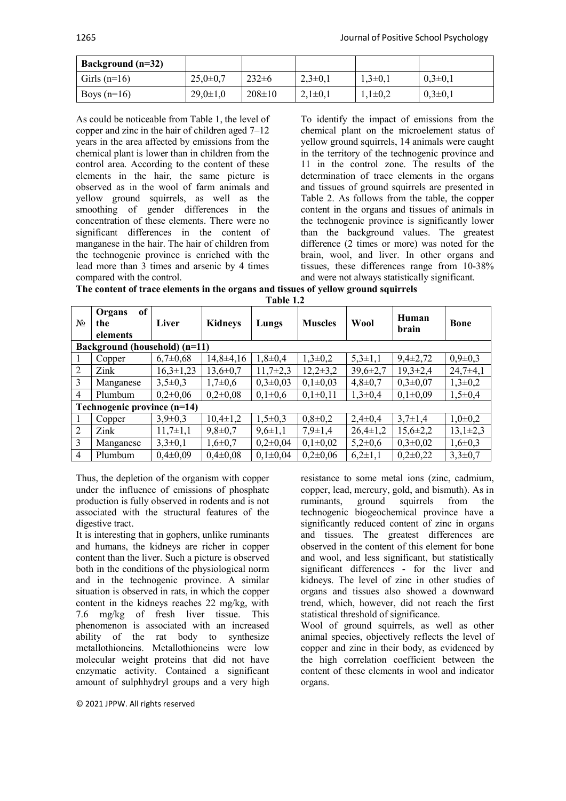| × |  |
|---|--|
|   |  |

| Background (n=32) |                |              |             |             |              |
|-------------------|----------------|--------------|-------------|-------------|--------------|
| Girls $(n=16)$    | $25.0 \pm 0.7$ | $232 \pm 6$  | $2,3\pm0,1$ | $1,3\pm0,1$ | $0,3\pm 0,1$ |
| Boys $(n=16)$     | $29,0 \pm 1,0$ | $208 \pm 10$ | $2,1\pm0,1$ | $1,1\pm0,2$ | $0,3\pm 0,1$ |

As could be noticeable from Table 1, the level of copper and zinc in the hair of children aged 7–12 years in the area affected by emissions from the chemical plant is lower than in children from the control area. According to the content of these elements in the hair, the same picture is observed as in the wool of farm animals and yellow ground squirrels, as well as the smoothing of gender differences in the concentration of these elements. There were no significant differences in the content of manganese in the hair. The hair of children from the technogenic province is enriched with the lead more than 3 times and arsenic by 4 times compared with the control.

To identify the impact of emissions from the chemical plant on the microelement status of yellow ground squirrels, 14 animals were caught in the territory of the technogenic province and 11 in the control zone. The results of the determination of trace elements in the organs and tissues of ground squirrels are presented in Table 2. As follows from the table, the copper content in the organs and tissues of animals in the technogenic province is significantly lower than the background values. The greatest difference (2 times or more) was noted for the brain, wool, and liver. In other organs and tissues, these differences range from 10-38% and were not always statistically significant.

**The content of trace elements in the organs and tissues of yellow ground squirrels**

| $N_2$                       | of<br>Organs<br>the<br>elements | Liver          | <b>Kidneys</b> | Lungs          | <b>Muscles</b> | <b>Wool</b>    | Human<br>brain | <b>Bone</b>   |  |
|-----------------------------|---------------------------------|----------------|----------------|----------------|----------------|----------------|----------------|---------------|--|
|                             | Background (household) (n=11)   |                |                |                |                |                |                |               |  |
| 1                           | Copper                          | $6,7\pm0,68$   | $14,8\pm 4,16$ | $1,8 \pm 0,4$  | $1,3\pm0,2$    | $5,3\pm1,1$    | $9,4\pm2,72$   | $0,9{\pm}0,3$ |  |
| 2                           | Zink                            | $16,3\pm1,23$  | $13,6 \pm 0.7$ | $11,7+2,3$     | $12,2\pm 3,2$  | $39,6 \pm 2,7$ | $19,3 \pm 2,4$ | $24,7\pm4,1$  |  |
| 3                           | Manganese                       | $3,5\pm0.3$    | $1,7 \pm 0.6$  | $0,3\pm0,03$   | $0,1\pm0.03$   | $4,8 \pm 0.7$  | $0,3{\pm}0,07$ | $1,3\pm0,2$   |  |
| $\overline{4}$              | Plumbum                         | $0,2{\pm}0,06$ | $0.2 \pm 0.08$ | $0.1 \pm 0.6$  | $0,1\pm0,11$   | $1,3\pm0,4$    | $0,1\pm0.09$   | $1,5\pm0,4$   |  |
| Technogenic province (n=14) |                                 |                |                |                |                |                |                |               |  |
|                             | Copper                          | $3,9 \pm 0,3$  | $10,4\pm1,2$   | $1,5\pm0,3$    | $0,8 \pm 0.2$  | $2,4\pm0,4$    | $3,7\pm1,4$    | $1,0\pm0,2$   |  |
| 2                           | Zink                            | $11,7\pm1,1$   | $9,8 \pm 0.7$  | $9,6 \pm 1,1$  | $7,9 \pm 1,4$  | $26,4\pm1,2$   | $15,6 \pm 2,2$ | $13,1\pm2,3$  |  |
| 3                           | Manganese                       | $3,3\pm0,1$    | $1,6 \pm 0.7$  | $0,2{\pm}0,04$ | $0,1\pm 0.02$  | $5,2\pm0,6$    | $0,3\pm0,02$   | $1,6 \pm 0,3$ |  |
| $\overline{4}$              | Plumbum                         | $0.4 \pm 0.09$ | $0,4\pm0,08$   | $0.1 \pm 0.04$ | $0,2{\pm}0,06$ | $6,2{\pm}1,1$  | $0,2\pm 0,22$  | $3,3\pm0,7$   |  |

Thus, the depletion of the organism with copper under the influence of emissions of phosphate production is fully observed in rodents and is not associated with the structural features of the digestive tract.

It is interesting that in gophers, unlike ruminants and humans, the kidneys are richer in copper content than the liver. Such a picture is observed both in the conditions of the physiological norm and in the technogenic province. A similar situation is observed in rats, in which the copper content in the kidneys reaches 22 mg/kg, with 7.6 mg/kg of fresh liver tissue. This phenomenon is associated with an increased ability of the rat body to synthesize metallothioneins. Metallothioneins were low molecular weight proteins that did not have enzymatic activity. Contained a significant amount of sulphhydryl groups and a very high

© 2021 JPPW. All rights reserved

resistance to some metal ions (zinc, cadmium, copper, lead, mercury, gold, and bismuth). As in ruminants, ground squirrels from the technogenic biogeochemical province have a significantly reduced content of zinc in organs and tissues. The greatest differences are observed in the content of this element for bone and wool, and less significant, but statistically significant differences - for the liver and kidneys. The level of zinc in other studies of organs and tissues also showed a downward trend, which, however, did not reach the first statistical threshold of significance.

Wool of ground squirrels, as well as other animal species, objectively reflects the level of copper and zinc in their body, as evidenced by the high correlation coefficient between the content of these elements in wool and indicator organs.